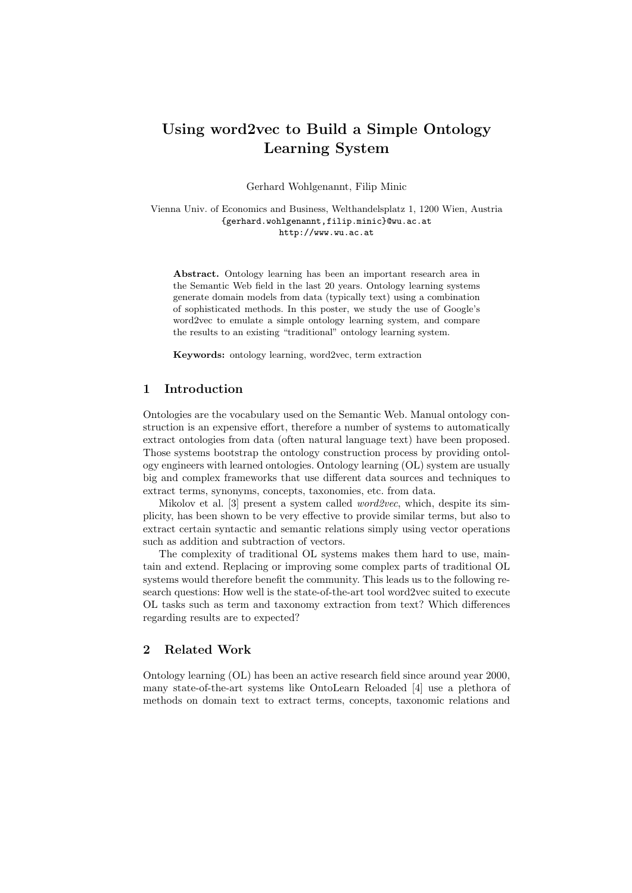# Using word2vec to Build a Simple Ontology Learning System

Gerhard Wohlgenannt, Filip Minic

Vienna Univ. of Economics and Business, Welthandelsplatz 1, 1200 Wien, Austria {gerhard.wohlgenannt,filip.minic}@wu.ac.at http://www.wu.ac.at

Abstract. Ontology learning has been an important research area in the Semantic Web field in the last 20 years. Ontology learning systems generate domain models from data (typically text) using a combination of sophisticated methods. In this poster, we study the use of Google's word2vec to emulate a simple ontology learning system, and compare the results to an existing "traditional" ontology learning system.

Keywords: ontology learning, word2vec, term extraction

# 1 Introduction

Ontologies are the vocabulary used on the Semantic Web. Manual ontology construction is an expensive effort, therefore a number of systems to automatically extract ontologies from data (often natural language text) have been proposed. Those systems bootstrap the ontology construction process by providing ontology engineers with learned ontologies. Ontology learning (OL) system are usually big and complex frameworks that use different data sources and techniques to extract terms, synonyms, concepts, taxonomies, etc. from data.

Mikolov et al. [3] present a system called *word2vec*, which, despite its simplicity, has been shown to be very effective to provide similar terms, but also to extract certain syntactic and semantic relations simply using vector operations such as addition and subtraction of vectors.

The complexity of traditional OL systems makes them hard to use, maintain and extend. Replacing or improving some complex parts of traditional OL systems would therefore benefit the community. This leads us to the following research questions: How well is the state-of-the-art tool word2vec suited to execute OL tasks such as term and taxonomy extraction from text? Which differences regarding results are to expected?

# 2 Related Work

Ontology learning (OL) has been an active research field since around year 2000, many state-of-the-art systems like OntoLearn Reloaded [4] use a plethora of methods on domain text to extract terms, concepts, taxonomic relations and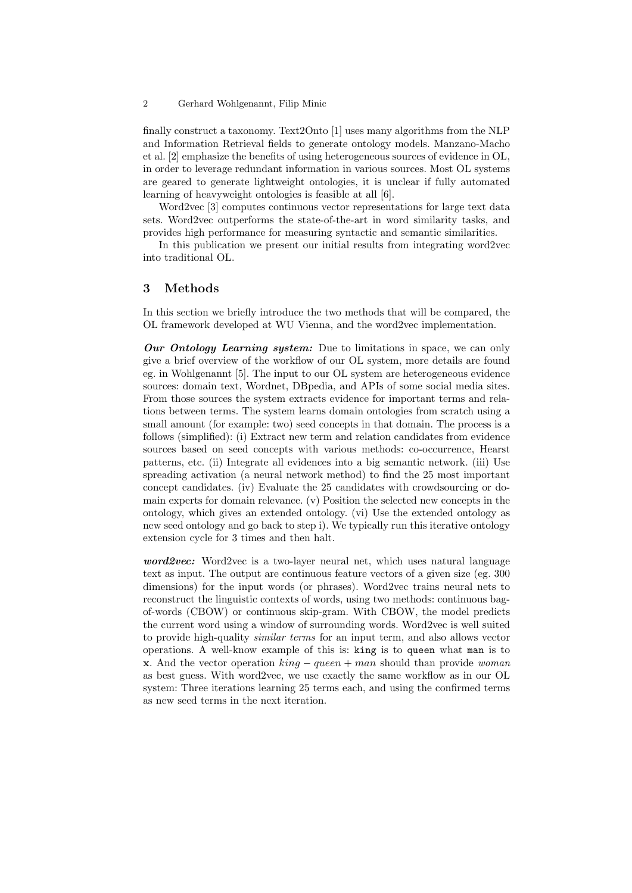#### 2 Gerhard Wohlgenannt, Filip Minic

finally construct a taxonomy. Text2Onto [1] uses many algorithms from the NLP and Information Retrieval fields to generate ontology models. Manzano-Macho et al. [2] emphasize the benefits of using heterogeneous sources of evidence in OL, in order to leverage redundant information in various sources. Most OL systems are geared to generate lightweight ontologies, it is unclear if fully automated learning of heavyweight ontologies is feasible at all [6].

Word2vec [3] computes continuous vector representations for large text data sets. Word2vec outperforms the state-of-the-art in word similarity tasks, and provides high performance for measuring syntactic and semantic similarities.

In this publication we present our initial results from integrating word2vec into traditional OL.

# 3 Methods

In this section we briefly introduce the two methods that will be compared, the OL framework developed at WU Vienna, and the word2vec implementation.

Our Ontology Learning system: Due to limitations in space, we can only give a brief overview of the workflow of our OL system, more details are found eg. in Wohlgenannt [5]. The input to our OL system are heterogeneous evidence sources: domain text, Wordnet, DBpedia, and APIs of some social media sites. From those sources the system extracts evidence for important terms and relations between terms. The system learns domain ontologies from scratch using a small amount (for example: two) seed concepts in that domain. The process is a follows (simplified): (i) Extract new term and relation candidates from evidence sources based on seed concepts with various methods: co-occurrence, Hearst patterns, etc. (ii) Integrate all evidences into a big semantic network. (iii) Use spreading activation (a neural network method) to find the 25 most important concept candidates. (iv) Evaluate the 25 candidates with crowdsourcing or domain experts for domain relevance. (v) Position the selected new concepts in the ontology, which gives an extended ontology. (vi) Use the extended ontology as new seed ontology and go back to step i). We typically run this iterative ontology extension cycle for 3 times and then halt.

word2vec: Word2vec is a two-layer neural net, which uses natural language text as input. The output are continuous feature vectors of a given size (eg. 300 dimensions) for the input words (or phrases). Word2vec trains neural nets to reconstruct the linguistic contexts of words, using two methods: continuous bagof-words (CBOW) or continuous skip-gram. With CBOW, the model predicts the current word using a window of surrounding words. Word2vec is well suited to provide high-quality similar terms for an input term, and also allows vector operations. A well-know example of this is: king is to queen what man is to **x**. And the vector operation  $king - queen + man$  should than provide *woman* as best guess. With word2vec, we use exactly the same workflow as in our OL system: Three iterations learning 25 terms each, and using the confirmed terms as new seed terms in the next iteration.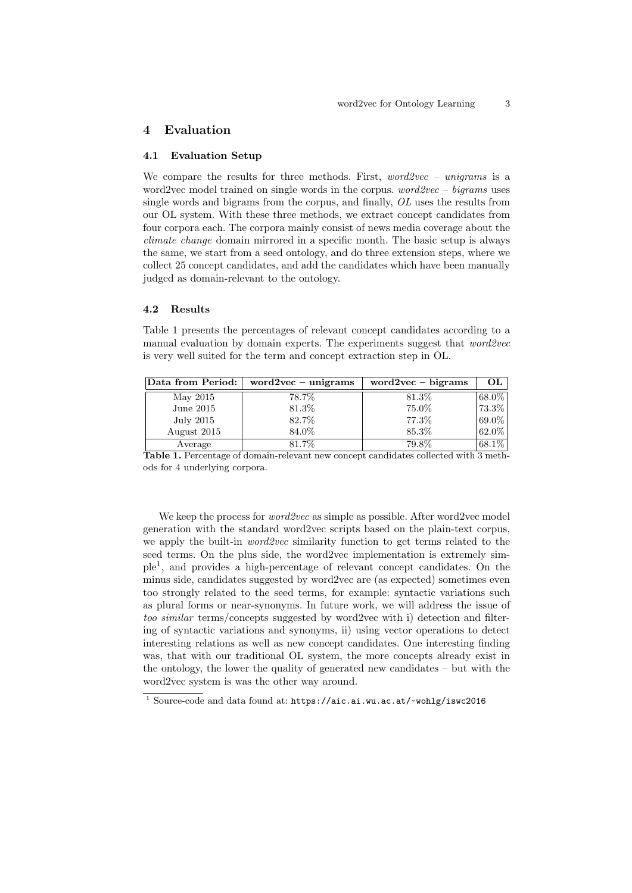## 4 Evaluation

#### 4.1 Evaluation Setup

We compare the results for three methods. First,  $word2vec - unigrams$  is a word2vec model trained on single words in the corpus.  $word2vec - bigrams$  uses single words and bigrams from the corpus, and finally, OL uses the results from our OL system. With these three methods, we extract concept candidates from four corpora each. The corpora mainly consist of news media coverage about the climate change domain mirrored in a specific month. The basic setup is always the same, we start from a seed ontology, and do three extension steps, where we collect 25 concept candidates, and add the candidates which have been manually judged as domain-relevant to the ontology.

# 4.2 Results

Table 1 presents the percentages of relevant concept candidates according to a manual evaluation by domain experts. The experiments suggest that word2vec is very well suited for the term and concept extraction step in OL.

| Data from Period: | $word2vec - unigrams$ | $word2vec - bigrams$ | OЬ        |
|-------------------|-----------------------|----------------------|-----------|
| May 2015          | 78.7%                 | 81.3%                | 68.0%     |
| June $2015$       | 81.3%                 | 75.0%                | $173.3\%$ |
| July 2015         | 82.7%                 | 77.3%                | $69.0\%$  |
| August 2015       | 84.0%                 | 85.3%                | 62.0%     |
| Average           | 81.7%                 | 79.8%                | $68.1\%$  |

Table 1. Percentage of domain-relevant new concept candidates collected with 3 methods for 4 underlying corpora.

We keep the process for *word2vec* as simple as possible. After word2vec model generation with the standard word2vec scripts based on the plain-text corpus, we apply the built-in *word2vec* similarity function to get terms related to the seed terms. On the plus side, the word2vec implementation is extremely simple<sup>1</sup> , and provides a high-percentage of relevant concept candidates. On the minus side, candidates suggested by word2vec are (as expected) sometimes even too strongly related to the seed terms, for example: syntactic variations such as plural forms or near-synonyms. In future work, we will address the issue of too similar terms/concepts suggested by word2vec with i) detection and filtering of syntactic variations and synonyms, ii) using vector operations to detect interesting relations as well as new concept candidates. One interesting finding was, that with our traditional OL system, the more concepts already exist in the ontology, the lower the quality of generated new candidates – but with the word2vec system is was the other way around.

<sup>1</sup> Source-code and data found at: https://aic.ai.wu.ac.at/~wohlg/iswc2016